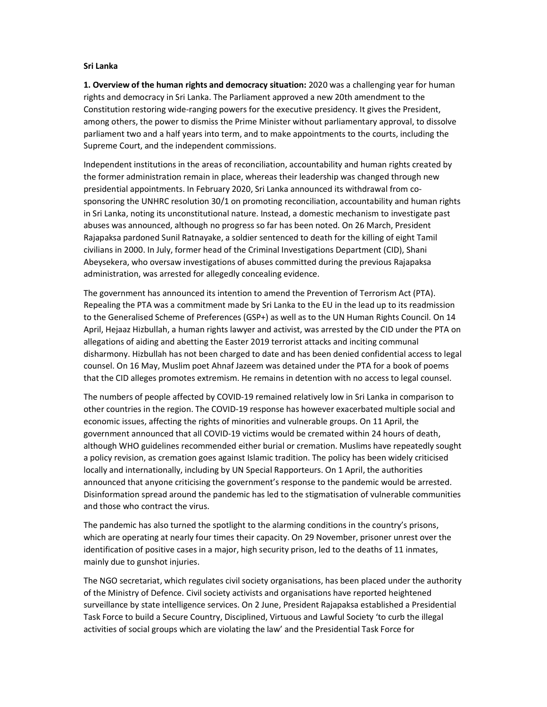## Sri Lanka

1. Overview of the human rights and democracy situation: 2020 was a challenging year for human rights and democracy in Sri Lanka. The Parliament approved a new 20th amendment to the Constitution restoring wide-ranging powers for the executive presidency. It gives the President, among others, the power to dismiss the Prime Minister without parliamentary approval, to dissolve parliament two and a half years into term, and to make appointments to the courts, including the Supreme Court, and the independent commissions.

Independent institutions in the areas of reconciliation, accountability and human rights created by the former administration remain in place, whereas their leadership was changed through new presidential appointments. In February 2020, Sri Lanka announced its withdrawal from cosponsoring the UNHRC resolution 30/1 on promoting reconciliation, accountability and human rights in Sri Lanka, noting its unconstitutional nature. Instead, a domestic mechanism to investigate past abuses was announced, although no progress so far has been noted. On 26 March, President Rajapaksa pardoned Sunil Ratnayake, a soldier sentenced to death for the killing of eight Tamil civilians in 2000. In July, former head of the Criminal Investigations Department (CID), Shani Abeysekera, who oversaw investigations of abuses committed during the previous Rajapaksa administration, was arrested for allegedly concealing evidence.

The government has announced its intention to amend the Prevention of Terrorism Act (PTA). Repealing the PTA was a commitment made by Sri Lanka to the EU in the lead up to its readmission to the Generalised Scheme of Preferences (GSP+) as well as to the UN Human Rights Council. On 14 April, Hejaaz Hizbullah, a human rights lawyer and activist, was arrested by the CID under the PTA on allegations of aiding and abetting the Easter 2019 terrorist attacks and inciting communal disharmony. Hizbullah has not been charged to date and has been denied confidential access to legal counsel. On 16 May, Muslim poet Ahnaf Jazeem was detained under the PTA for a book of poems that the CID alleges promotes extremism. He remains in detention with no access to legal counsel.

The numbers of people affected by COVID-19 remained relatively low in Sri Lanka in comparison to other countries in the region. The COVID-19 response has however exacerbated multiple social and economic issues, affecting the rights of minorities and vulnerable groups. On 11 April, the government announced that all COVID-19 victims would be cremated within 24 hours of death, although WHO guidelines recommended either burial or cremation. Muslims have repeatedly sought a policy revision, as cremation goes against Islamic tradition. The policy has been widely criticised locally and internationally, including by UN Special Rapporteurs. On 1 April, the authorities announced that anyone criticising the government's response to the pandemic would be arrested. Disinformation spread around the pandemic has led to the stigmatisation of vulnerable communities and those who contract the virus.

The pandemic has also turned the spotlight to the alarming conditions in the country's prisons, which are operating at nearly four times their capacity. On 29 November, prisoner unrest over the identification of positive cases in a major, high security prison, led to the deaths of 11 inmates, mainly due to gunshot injuries.

The NGO secretariat, which regulates civil society organisations, has been placed under the authority of the Ministry of Defence. Civil society activists and organisations have reported heightened surveillance by state intelligence services. On 2 June, President Rajapaksa established a Presidential Task Force to build a Secure Country, Disciplined, Virtuous and Lawful Society 'to curb the illegal activities of social groups which are violating the law' and the Presidential Task Force for